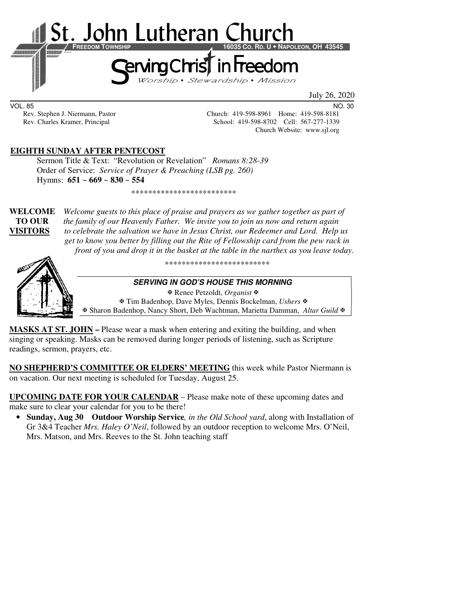

July 26, 2020

VOL. 85 NO. 30

Rev. Stephen J. Niermann, Pastor Church: 419-598-8961 Home: 419-598-8181 Rev. Charles Kramer, Principal School: 419-598-8702 Cell: 567-277-1339 Church Website: www.sjl.org

# **EIGHTH SUNDAY AFTER PENTECOST**

Sermon Title & Text: "Revolution or Revelation" *Romans 8:28-39* Order of Service: *Service of Prayer & Preaching (LSB pg. 260)*  Hymns: **651** ~ **669** ~ **830** ~ **554**

\*\*\*\*\*\*\*\*\*\*\*\*\*\*\*\*\*\*\*\*\*\*\*\*\*

**WELCOME** *Welcome guests to this place of praise and prayers as we gather together as part of*  **TO OUR** *the family of our Heavenly Father. We invite you to join us now and return again* **VISITORS** *to celebrate the salvation we have in Jesus Christ, our Redeemer and Lord. Help us get to know you better by filling out the Rite of Fellowship card from the pew rack in front of you and drop it in the basket at the table in the narthex as you leave today.* 



\*\*\*\*\*\*\*\*\*\*\*\*\*\*\*\*\*\*\*\*\*\*\*\*\*

#### **SERVING IN GOD'S HOUSE THIS MORNING**

Renee Petzoldt, *Organist*

 Tim Badenhop, Dave Myles, Dennis Bockelman, *Ushers* Sharon Badenhop, Nancy Short, Deb Wachtman, Marietta Damman, *Altar Guild*

**MASKS AT ST. JOHN –** Please wear a mask when entering and exiting the building, and when singing or speaking. Masks can be removed during longer periods of listening, such as Scripture readings, sermon, prayers, etc.

**NO SHEPHERD'S COMMITTEE OR ELDERS' MEETING** this week while Pastor Niermann is on vacation. Our next meeting is scheduled for Tuesday, August 25.

**UPCOMING DATE FOR YOUR CALENDAR** – Please make note of these upcoming dates and make sure to clear your calendar for you to be there!

• **Sunday, Aug 30 Outdoor Worship Service***, in the Old School yard*, along with Installation of Gr 3&4 Teacher *Mrs. Haley O'Neil*, followed by an outdoor reception to welcome Mrs. O'Neil, Mrs. Matson, and Mrs. Reeves to the St. John teaching staff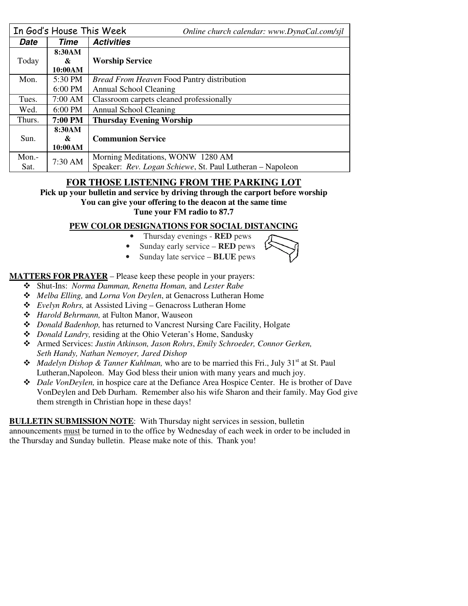|        | In God's House This Week | Online church calendar: www.DynaCal.com/sjl               |  |  |
|--------|--------------------------|-----------------------------------------------------------|--|--|
| Date   | Time                     | <b>Activities</b>                                         |  |  |
|        | 8:30AM                   |                                                           |  |  |
| Today  | &                        | <b>Worship Service</b>                                    |  |  |
|        | 10:00AM                  |                                                           |  |  |
| Mon.   | 5:30 PM                  | <i>Bread From Heaven Food Pantry distribution</i>         |  |  |
|        | $6:00$ PM                | Annual School Cleaning                                    |  |  |
| Tues.  | $7:00$ AM                | Classroom carpets cleaned professionally                  |  |  |
| Wed.   | $6:00$ PM                | Annual School Cleaning                                    |  |  |
| Thurs. | 7:00 PM                  | <b>Thursday Evening Worship</b>                           |  |  |
|        | 8:30AM                   |                                                           |  |  |
| Sun.   | &                        | <b>Communion Service</b>                                  |  |  |
|        | 10:00AM                  |                                                           |  |  |
| Mon.-  | 7:30 AM                  | Morning Meditations, WONW 1280 AM                         |  |  |
| Sat.   |                          | Speaker: Rev. Logan Schiewe, St. Paul Lutheran – Napoleon |  |  |

# **FOR THOSE LISTENING FROM THE PARKING LOT**

**Pick up your bulletin and service by driving through the carport before worship You can give your offering to the deacon at the same time Tune your FM radio to 87.7** 

### **PEW COLOR DESIGNATIONS FOR SOCIAL DISTANCING**

- Thursday evenings **RED** pews
- Sunday early service **RED** pews
- Sunday late service **BLUE** pews



**MATTERS FOR PRAYER** – Please keep these people in your prayers:

- Shut-Ins: *Norma Damman, Renetta Homan,* and *Lester Rabe*
- *Melba Elling,* and *Lorna Von Deylen*, at Genacross Lutheran Home
- *Evelyn Rohrs,* at Assisted Living Genacross Lutheran Home
- *Harold Behrmann,* at Fulton Manor, Wauseon
- *Donald Badenhop,* has returned to Vancrest Nursing Care Facility, Holgate
- *Donald Landry,* residing at the Ohio Veteran's Home, Sandusky
- Armed Services: *Justin Atkinson, Jason Rohrs*, *Emily Schroeder, Connor Gerken, Seth Handy, Nathan Nemoyer, Jared Dishop*
- **Madelyn Dishop & Tanner Kuhlman, who are to be married this Fri., July 31<sup>st</sup> at St. Paul** Lutheran,Napoleon. May God bless their union with many years and much joy.
- *Dale VonDeylen,* in hospice care at the Defiance Area Hospice Center. He is brother of Dave VonDeylen and Deb Durham. Remember also his wife Sharon and their family. May God give them strength in Christian hope in these days!

**BULLETIN SUBMISSION NOTE**: With Thursday night services in session, bulletin

announcements must be turned in to the office by Wednesday of each week in order to be included in the Thursday and Sunday bulletin. Please make note of this. Thank you!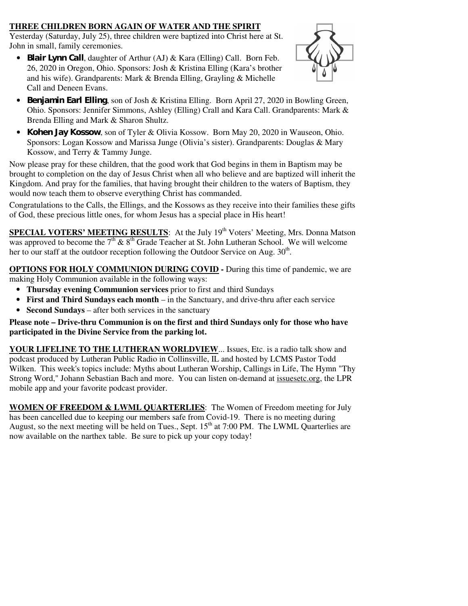## **THREE CHILDREN BORN AGAIN OF WATER AND THE SPIRIT**

Yesterday (Saturday, July 25), three children were baptized into Christ here at St. John in small, family ceremonies.

• **Blair Lynn Call**, daughter of Arthur (AJ) & Kara (Elling) Call. Born Feb. 26, 2020 in Oregon, Ohio. Sponsors: Josh & Kristina Elling (Kara's brother and his wife). Grandparents: Mark & Brenda Elling, Grayling & Michelle Call and Deneen Evans.



- **Benjamin Earl Elling**, son of Josh & Kristina Elling. Born April 27, 2020 in Bowling Green, Ohio. Sponsors: Jennifer Simmons, Ashley (Elling) Crall and Kara Call. Grandparents: Mark & Brenda Elling and Mark & Sharon Shultz.
- **Kohen Jay Kossow**, son of Tyler & Olivia Kossow. Born May 20, 2020 in Wauseon, Ohio. Sponsors: Logan Kossow and Marissa Junge (Olivia's sister). Grandparents: Douglas & Mary Kossow, and Terry & Tammy Junge.

Now please pray for these children, that the good work that God begins in them in Baptism may be brought to completion on the day of Jesus Christ when all who believe and are baptized will inherit the Kingdom. And pray for the families, that having brought their children to the waters of Baptism, they would now teach them to observe everything Christ has commanded.

Congratulations to the Calls, the Ellings, and the Kossows as they receive into their families these gifts of God, these precious little ones, for whom Jesus has a special place in His heart!

**SPECIAL VOTERS' MEETING RESULTS:** At the July 19<sup>th</sup> Voters' Meeting, Mrs. Donna Matson was approved to become the  $7<sup>th</sup>$  &  $8<sup>th</sup>$  Grade Teacher at St. John Lutheran School. We will welcome her to our staff at the outdoor reception following the Outdoor Service on Aug.  $30<sup>th</sup>$ .

**OPTIONS FOR HOLY COMMUNION DURING COVID -** During this time of pandemic, we are making Holy Communion available in the following ways:

- **Thursday evening Communion services** prior to first and third Sundays
- **First and Third Sundays each month** in the Sanctuary, and drive-thru after each service
- **Second Sundays** after both services in the sanctuary

**Please note – Drive-thru Communion is on the first and third Sundays only for those who have participated in the Divine Service from the parking lot.** 

**YOUR LIFELINE TO THE LUTHERAN WORLDVIEW**... Issues, Etc. is a radio talk show and podcast produced by Lutheran Public Radio in Collinsville, IL and hosted by LCMS Pastor Todd Wilken. This week's topics include: Myths about Lutheran Worship, Callings in Life, The Hymn "Thy Strong Word," Johann Sebastian Bach and more. You can listen on-demand at issuesetc.org, the LPR mobile app and your favorite podcast provider.

**WOMEN OF FREEDOM & LWML QUARTERLIES**: The Women of Freedom meeting for July has been cancelled due to keeping our members safe from Covid-19. There is no meeting during August, so the next meeting will be held on Tues., Sept.  $15<sup>th</sup>$  at 7:00 PM. The LWML Quarterlies are now available on the narthex table. Be sure to pick up your copy today!